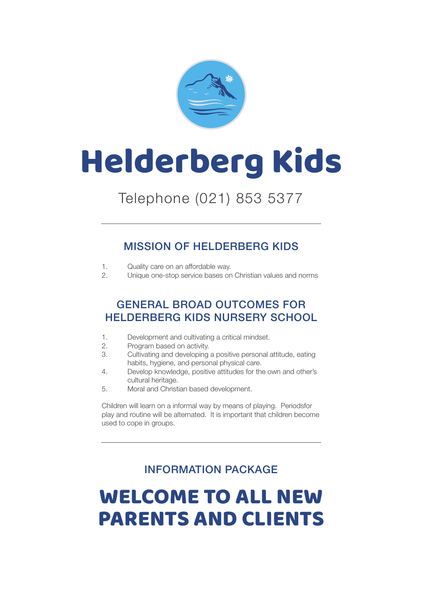

# Helderberg Kids

## Telephone (021) 853 5377

## MISSION OF HELDERBERG KIDS

- 1. Quality care on an affordable way.
- 2. Unique one-stop service bases on Christian values and norms

## GENERAL BROAD OUTCOMES FOR HELDERBERG KIDS NURSERY SCHOOL

- 1. Development and cultivating a critical mindset.
- 2. Program based on activity.
- 3. Cultivating and developing a positive personal attitude, eating habits, hygiene, and personal physical care.
- 4. Develop knowledge, positive attitudes for the own and other's cultural heritage.<br>5 Moral and Christ
- Moral and Christian based development.

Children will learn on a informal way by means of playing. Periodsfor play and routine will be alternated. It is important that children become used to cope in groups.

## INFORMATION PACKAGE

# WELCOME TO ALL NEW PARENTS AND CLIENTS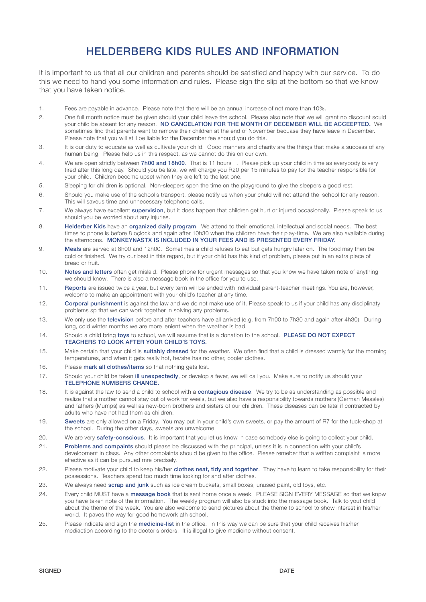## HELDERBERG KIDS RULES AND INFORMATION

It is important to us that all our children and parents should be satisfied and happy with our service. To do this we need to hand you some information and rules. Please sign the slip at the bottom so that we know that you have taken notice.

- 1. Fees are payable in advance. Please note that there will be an annual increase of not more than 10%.
- 2. One full month notice must be given should your child leave the school. Please also note that we will grant no discount sould your child be absent for any reason. NO CANCELATION FOR THE MONTH OF DECEMBER WILL BE ACCEEPTED. We sometimes find that parents want to remove their children at the end of November becuase they have leave in December. Please note that you will still be liable for the December fee shou;d you do this.
- 3. It is our duty to educate as well as cultivate your child. Good manners and charity are the things that make a success of any human being. Please help us in this respect, as we cannot do this on our own.
- 4. We are open strictly between 7h00 and 18h00. That is 11 hours . Please pick up your child in time as everybody is very tired after this long day. Should you be late, we will charge you R20 per 15 minutes to pay for the teacher responsible for your child. Children become upset when they are left to the last one.
- 5. Sleeping for children is optional. Non-sleepers spen the time on the playground to give the sleepers a good rest.
- 6. Should you make use of the school's transport, please notify us when your chuld will not attend the school for any reason. This will saveus time and unnecessary telephone calls.
- 7. We always have excellent supervision, but it does happen that children get hurt or injured occasionally. Please speak to us should you be worried about any injuries.
- 8. **Helderber Kids** have an **organized daily program**. We attend to their emotional, intellectual and social needs. The best times to phone is before 8 oçlock and again after 10h30 when the children have their play-time. We are also available during the afternoons. MONKEYNASTX IS INCLUDED IN YOUR FEES AND IS PRESENTED EVERY FRIDAY.
- 9. Meals are served at 8h00 and 12h00. Sometimes a child refuses to eat but gets hungry later on. The food may then be cold or finished. We try our best in this regard, but if your child has this kind of problem, please put in an extra piece of bread or fruit.
- 10. Notes and letters often get mislaid. Please phone for urgent messages so that you know we have taken note of anything we should know. There is also a message book in the office for you to use.
- 11. Reports are issued twice a year, but every term will be ended with individual parent-teacher meetings. You are, however, welcome to make an appointment with your child's teacher at any time.
- 12. Corporal punishment is against the law and we do not make use of it. Please speak to us if your child has any disciplinaty problems sp that we can work together in solving any problems.
- 13. We only use the television before and after teachers have all arrived (e.g. from 7h00 to 7h30 and again after 4h30). During long, cold winter months we are more lenient when the weather is bad.
- 14. Should a child bring toys to school, we will assume that is a donation to the school. PLEASE DO NOT EXPECT TEACHERS TO LOOK AFTER YOUR CHILD'S TOYS.
- 15. Make certain that your child is **suitably dressed** for the weather. We often find that a child is dressed warmly for the morning temperatures, and when it gets really hot, he/she has no other, cooler clothes.
- 16. Please mark all clothes/items so that nothing gets lost.
- 17. Should your child be taken ill unexpectedly, or develop a fever, we will call you. Make sure to notify us should your TELEPHONE NUMBERS CHANGE.
- 18. It is against the law to send a child to school with a **contagious disease**. We try to be as understanding as possible and realize that a mother cannot stay out of work for weels, but we also have a responsibility towards mothers (German Measles) and fathers (Mumps) as well as new-born brothers and sisters of our children. These diseases can be fatal if contracted by adults who have not had them as children.
- 19. Sweets are only allowed on a Friday. You may put in your child's own sweets, or pay the amount of R7 for the tuck-shop at the school. During the other days, sweets are unwelcome.
- 20. We are very safety-conscious. It is important that you let us know in case somebody else is going to collect your child.
- 21. Problems and compaints should please be discussed with the principal, unless it is in connection with your child's development in class. Any other complaints should be given to the office. Please remeber that a written complaint is more effective as it can be pursued mre precisely.
- 22. Please motivate your child to keep his/her clothes neat, tidy and together. They have to learn to take responsibility for their possessions. Teachers spend too much time looking for and after clothes.
- 23. We always need **scrap and junk** such as ice cream buckets, small boxes, unused paint, old toys, etc.
- 24. Every child MUST have a message book that is sent home once a week. PLEASE SIGN EVERY MESSAGE so that we knpw you have taken note of the information. The weekly program will also be stuck into the message book. Talk to yout child about the theme of the week. You are also welcome to send pictures about the theme to school to show interest in his/her world. It paves the way for good homework ath school.
- 25. Please indicate and sign the medicine-list in the office. In this way we can be sure that your child receives his/her mediaction according to the doctor's orders. It is illegal to give medicine without consent.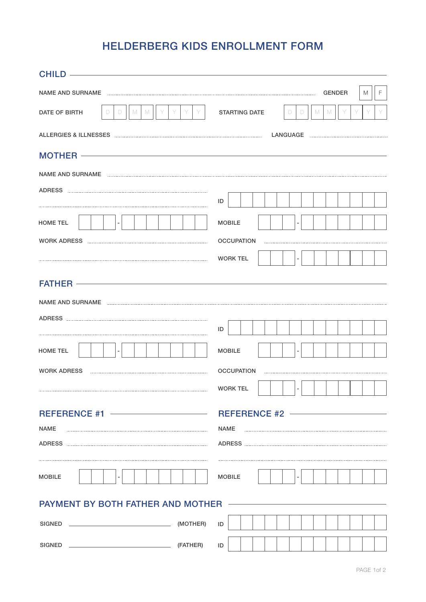## HELDERBERG KIDS ENROLLMENT FORM

|                                                                                                                                                                                                                                                                                                                                                                                     | <b>GENDER</b><br>F.<br>M                    |  |  |  |  |  |
|-------------------------------------------------------------------------------------------------------------------------------------------------------------------------------------------------------------------------------------------------------------------------------------------------------------------------------------------------------------------------------------|---------------------------------------------|--|--|--|--|--|
| DATE OF BIRTH<br>D<br>D<br>M<br>M                                                                                                                                                                                                                                                                                                                                                   | <b>STARTING DATE</b><br>M<br>D<br>M<br>D.   |  |  |  |  |  |
|                                                                                                                                                                                                                                                                                                                                                                                     |                                             |  |  |  |  |  |
| MOTHER <del>contract and analysis of the series of the series of the series of the series of the series of the series of the series of the series of the series of the series of the series of the series of the series of the ser</del>                                                                                                                                            |                                             |  |  |  |  |  |
|                                                                                                                                                                                                                                                                                                                                                                                     |                                             |  |  |  |  |  |
|                                                                                                                                                                                                                                                                                                                                                                                     |                                             |  |  |  |  |  |
|                                                                                                                                                                                                                                                                                                                                                                                     | ID                                          |  |  |  |  |  |
| <b>HOME TEL</b>                                                                                                                                                                                                                                                                                                                                                                     | <b>MOBILE</b>                               |  |  |  |  |  |
|                                                                                                                                                                                                                                                                                                                                                                                     | <b>OCCUPATION</b>                           |  |  |  |  |  |
|                                                                                                                                                                                                                                                                                                                                                                                     | <b>WORK TEL</b><br>$\overline{\phantom{a}}$ |  |  |  |  |  |
| FATHER <b>CONSTRUCTER</b>                                                                                                                                                                                                                                                                                                                                                           |                                             |  |  |  |  |  |
|                                                                                                                                                                                                                                                                                                                                                                                     | ID                                          |  |  |  |  |  |
| <b>HOME TEL</b>                                                                                                                                                                                                                                                                                                                                                                     | <b>MOBILE</b>                               |  |  |  |  |  |
| <b>WORK ADRESS</b>                                                                                                                                                                                                                                                                                                                                                                  | <b>OCCUPATION</b>                           |  |  |  |  |  |
|                                                                                                                                                                                                                                                                                                                                                                                     | $\sim$<br><b>WORK TEL</b>                   |  |  |  |  |  |
| <b>NAME</b>                                                                                                                                                                                                                                                                                                                                                                         | <b>NAME</b>                                 |  |  |  |  |  |
| <b>MOBILE</b>                                                                                                                                                                                                                                                                                                                                                                       | <b>MOBILE</b>                               |  |  |  |  |  |
| PAYMENT BY BOTH FATHER AND MOTHER ———————                                                                                                                                                                                                                                                                                                                                           |                                             |  |  |  |  |  |
| $\begin{picture}(150,10) \put(0,0){\vector(1,0){100}} \put(15,0){\vector(1,0){100}} \put(15,0){\vector(1,0){100}} \put(15,0){\vector(1,0){100}} \put(15,0){\vector(1,0){100}} \put(15,0){\vector(1,0){100}} \put(15,0){\vector(1,0){100}} \put(15,0){\vector(1,0){100}} \put(15,0){\vector(1,0){100}} \put(15,0){\vector(1,0){100}} \put(15,0){\vector(1,0){100}}$<br><b>SIGNED</b> | ID                                          |  |  |  |  |  |
|                                                                                                                                                                                                                                                                                                                                                                                     | ID                                          |  |  |  |  |  |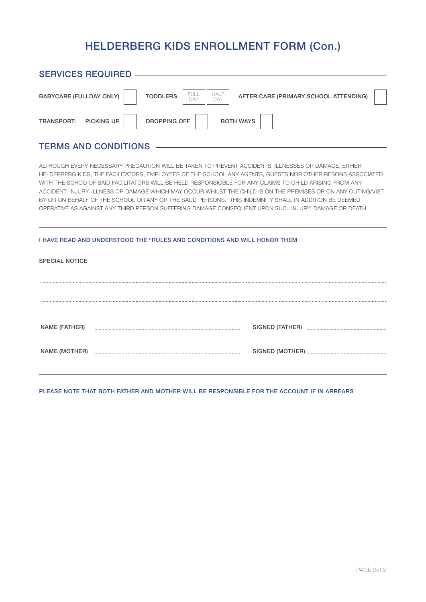## HELDERBERG KIDS ENROLLMENT FORM (Con.)

| <b>SERVICES REQUIRED ——</b>                                                                                                                                                                                                                                                                                                                                                                                                                                                                                                                                                                                                                                 |  |  |  |  |  |  |
|-------------------------------------------------------------------------------------------------------------------------------------------------------------------------------------------------------------------------------------------------------------------------------------------------------------------------------------------------------------------------------------------------------------------------------------------------------------------------------------------------------------------------------------------------------------------------------------------------------------------------------------------------------------|--|--|--|--|--|--|
| FULL<br><b>HALF</b><br><b>TODDLERS</b><br><b>BABYCARE (FULLDAY ONLY)</b><br>AFTER CARE (PRIMARY SCHOOL ATTENDING)<br>DAY<br>DAY                                                                                                                                                                                                                                                                                                                                                                                                                                                                                                                             |  |  |  |  |  |  |
| <b>DROPPING OFF</b><br><b>BOTH WAYS</b><br>TRANSPORT: PICKING UP                                                                                                                                                                                                                                                                                                                                                                                                                                                                                                                                                                                            |  |  |  |  |  |  |
| <b>TERMS AND CONDITIONS</b>                                                                                                                                                                                                                                                                                                                                                                                                                                                                                                                                                                                                                                 |  |  |  |  |  |  |
| ALTHOUGH EVERY NECESSARY PRECAUTION WILL BE TAKEN TO PREVENT ACCIDENTS, ILLNESSES OR DAMAGE, EITHER<br>HELDERBERG KIDS, THE FACILITATORS, EMPLOYEES OF THE SCHOOL ANY AGENTS, GUESTS NOR OTHER RESONS ASSOCIATED<br>WITH THE SCHOO OF SAID FACILITATORS WILL BE HELD RESPONSIOBLE FOR ANY CLAIMS TO CHILD ARISING FROM ANY<br>ACCIDENT. INJURY, ILLNESS OR DAMAGE WHICH MAY OCCUR WHILST THE CHILD IS ON THE PREMISES OR ON ANY OUTING/VIST<br>BY OR ON BEHALF OF THE SCHOOL OR ANY OR THE SAUD PERSONS. THIS INDEMNITY SHALL IN ADDITION BE DEEMED<br>OPERATIVE AS AGAINST ANY THIRD PERSON SUFFERING DAMAGE CONSEQUENT UPON SUCJ INJURY, DAMAGE OR DEATH. |  |  |  |  |  |  |
| I HAVE READ AND UNDERSTOOD THE "RULES AND CONDITIONS AND WILL HONOR THEM                                                                                                                                                                                                                                                                                                                                                                                                                                                                                                                                                                                    |  |  |  |  |  |  |
|                                                                                                                                                                                                                                                                                                                                                                                                                                                                                                                                                                                                                                                             |  |  |  |  |  |  |
|                                                                                                                                                                                                                                                                                                                                                                                                                                                                                                                                                                                                                                                             |  |  |  |  |  |  |
|                                                                                                                                                                                                                                                                                                                                                                                                                                                                                                                                                                                                                                                             |  |  |  |  |  |  |
| NAME (FATHER)                                                                                                                                                                                                                                                                                                                                                                                                                                                                                                                                                                                                                                               |  |  |  |  |  |  |
|                                                                                                                                                                                                                                                                                                                                                                                                                                                                                                                                                                                                                                                             |  |  |  |  |  |  |

#### PLEASE NOTE THAT BOTH FATHER AND MOTHER WILL BE RESPONSIBLE FOR THE ACCOUNT IF IN ARREARS